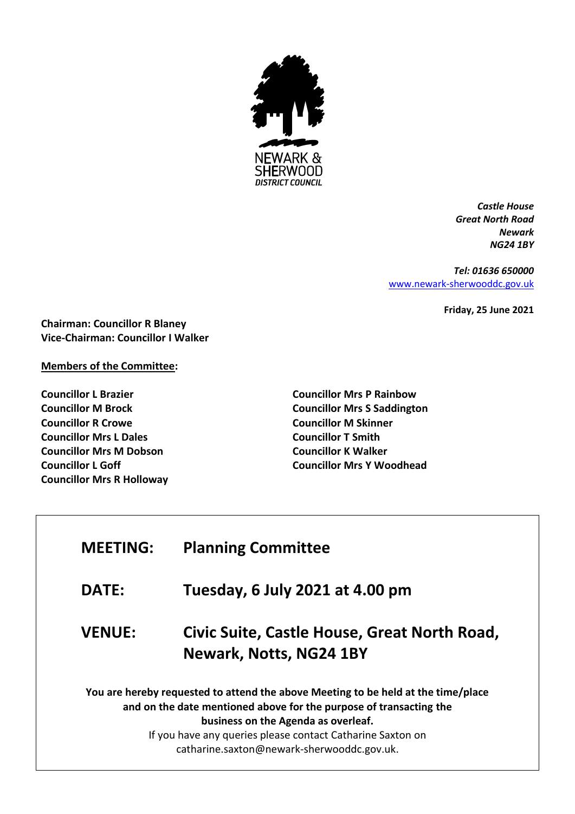

*Castle House Great North Road Newark NG24 1BY*

*Tel: 01636 650000* [www.newark-sherwooddc.gov.uk](http://www.newark-sherwooddc.gov.uk/)

**Friday, 25 June 2021**

**Chairman: Councillor R Blaney Vice-Chairman: Councillor I Walker**

## **Members of the Committee:**

**Councillor L Brazier Councillor M Brock Councillor R Crowe Councillor Mrs L Dales Councillor Mrs M Dobson Councillor L Goff Councillor Mrs R Holloway**

Г

**Councillor Mrs P Rainbow Councillor Mrs S Saddington Councillor M Skinner Councillor T Smith Councillor K Walker Councillor Mrs Y Woodhead**

| <b>MEETING:</b> | <b>Planning Committee</b>                                                                                                                                                                                                                                                                                  |
|-----------------|------------------------------------------------------------------------------------------------------------------------------------------------------------------------------------------------------------------------------------------------------------------------------------------------------------|
| <b>DATE:</b>    | Tuesday, 6 July 2021 at 4.00 pm                                                                                                                                                                                                                                                                            |
| <b>VENUE:</b>   | Civic Suite, Castle House, Great North Road,<br><b>Newark, Notts, NG24 1BY</b>                                                                                                                                                                                                                             |
|                 | You are hereby requested to attend the above Meeting to be held at the time/place<br>and on the date mentioned above for the purpose of transacting the<br>business on the Agenda as overleaf.<br>If you have any queries please contact Catharine Saxton on<br>catharine.saxton@newark-sherwooddc.gov.uk. |